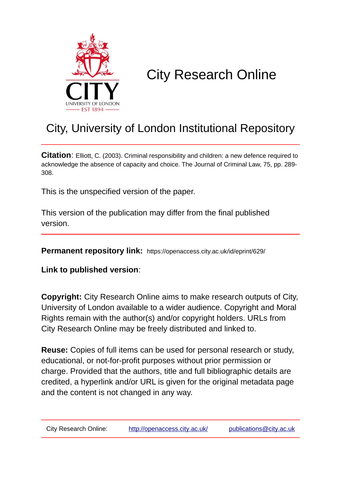

# City Research Online

## City, University of London Institutional Repository

**Citation**: Elliott, C. (2003). Criminal responsibility and children: a new defence required to acknowledge the absence of capacity and choice. The Journal of Criminal Law, 75, pp. 289- 308.

This is the unspecified version of the paper.

This version of the publication may differ from the final published version.

**Permanent repository link:** https://openaccess.city.ac.uk/id/eprint/629/

**Link to published version**:

**Copyright:** City Research Online aims to make research outputs of City, University of London available to a wider audience. Copyright and Moral Rights remain with the author(s) and/or copyright holders. URLs from City Research Online may be freely distributed and linked to.

**Reuse:** Copies of full items can be used for personal research or study, educational, or not-for-profit purposes without prior permission or charge. Provided that the authors, title and full bibliographic details are credited, a hyperlink and/or URL is given for the original metadata page and the content is not changed in any way.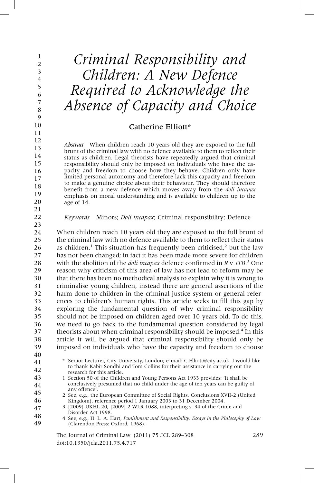## *Criminal Responsibility and Children: A New Defence Required to Acknowledge the Absence of Capacity and Choice*

## Catherine Elliott\*

*Abstract* When children reach 10 years old they are exposed to the full brunt of the criminal law with no defence available to them to reflect their status as children. Legal theorists have repeatedly argued that criminal responsibility should only be imposed on individuals who have the capacity and freedom to choose how they behave. Children only have limited personal autonomy and therefore lack this capacity and freedom to make a genuine choice about their behaviour. They should therefore benefit from a new defence which moves away from the *doli incapax* emphasis on moral understanding and is available to children up to the age of 14.

*Keywords* Minors; *Doli incapax*; Criminal responsibility; Defence

When children reach 10 years old they are exposed to the full brunt of the criminal law with no defence available to them to reflect their status as children.<sup>1</sup> This situation has frequently been criticised,<sup>2</sup> but the law has not been changed; in fact it has been made more severe for children with the abolition of the *doli incapax* defence confirmed in *R* v *JTB*. <sup>3</sup> One reason why criticism of this area of law has not lead to reform may be that there has been no methodical analysis to explain why it is wrong to criminalise young children, instead there are general assertions of the harm done to children in the criminal justice system or general references to children's human rights. This article seeks to fill this gap by exploring the fundamental question of why criminal responsibility should not be imposed on children aged over 10 years old. To do this, we need to go back to the fundamental question considered by legal theorists about when criminal responsibility should be imposed.<sup>4</sup> In this article it will be argued that criminal responsibility should only be imposed on individuals who have the capacity and freedom to choose 24 25 26 27 28 29 30 31 32 33 34 35 36 37 38 39

40 41

42

46 47 \* Senior Lecturer, City University, London; e-mail: C.Elliott@city.ac.uk. I would like to thank Kabir Sondhi and Tom Collins for their assistance in carrying out the research for this article.

1 Section 50 of the Children and Young Persons Act 1933 provides: 'It shall be conclusively presumed that no child under the age of ten years can be guilty of any offence'. 43 44 45

2 See, e.g., the European Committee of Social Rights, Conclusions XVII-2 (United Kingdom), reference period 1 January 2003 to 31 December 2004.

3 [2009] UKHL 20, [2009] 2 WLR 1088, interpreting s. 34 of the Crime and Disorder Act 1998.

The Journal of Criminal Law (2011) 75 JCL 289–308 289 doi:10.1350/jcla.2011.75.4.717

<sup>4</sup> See, e.g., H. L. A. Hart, *Punishment and Responsibility: Essays in the Philosophy of Law* (Clarendon Press: Oxford, 1968). 48 49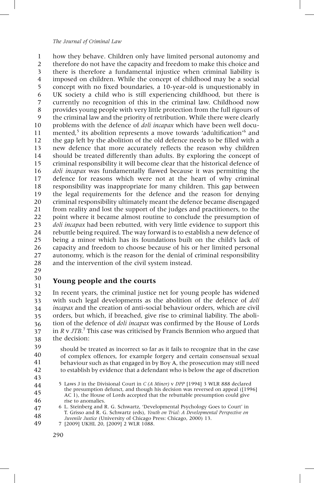how they behave. Children only have limited personal autonomy and therefore do not have the capacity and freedom to make this choice and there is therefore a fundamental injustice when criminal liability is imposed on children. While the concept of childhood may be a social concept with no fixed boundaries, a 10-year-old is unquestionably in UK society a child who is still experiencing childhood, but there is currently no recognition of this in the criminal law. Childhood now provides young people with very little protection from the full rigours of the criminal law and the priority of retribution. While there were clearly problems with the defence of *doli incapax* which have been well documented,<sup>5</sup> its abolition represents a move towards 'adultification'<sup>6</sup> and the gap left by the abolition of the old defence needs to be filled with a new defence that more accurately reflects the reason why children should be treated differently than adults. By exploring the concept of criminal responsibility it will become clear that the historical defence of *doli incapax* was fundamentally flawed because it was permitting the defence for reasons which were not at the heart of why criminal responsibility was inappropriate for many children. This gap between the legal requirements for the defence and the reason for denying criminal responsibility ultimately meant the defence became disengaged from reality and lost the support of the judges and practitioners, to the point where it became almost routine to conclude the presumption of *doli incapax* had been rebutted, with very little evidence to support this rebuttle being required. The way forward is to establish a new defence of being a minor which has its foundations built on the child's lack of capacity and freedom to choose because of his or her limited personal autonomy, which is the reason for the denial of criminal responsibility and the intervention of the civil system instead. 1 2 3 4 5 6 7 8 9 10 11 12 13 14 15 16 17 18 19 20 21 22 23 24 25 26 27 28

29 30

31

## **Young people and the courts**

In recent years, the criminal justice net for young people has widened with such legal developments as the abolition of the defence of *doli incapax* and the creation of anti-social behaviour orders, which are civil orders, but which, if breached, give rise to criminal liability. The abolition of the defence of *doli incapax* was confirmed by the House of Lords in *R* v *JTB.*<sup>7</sup> This case was criticised by Francis Bennion who argued that the decision: 32 33 34 35 36 37 38

should be treated as incorrect so far as it fails to recognize that in the case of complex offences, for example forgery and certain consensual sexual behaviour such as that engaged in by Boy A, the prosecution may still need to establish by evidence that a defendant who is below the age of discretion 39 40 41 42

<sup>5</sup> Laws J in the Divisional Court in *C (A Minor)* v *DPP* [1994] 3 WLR 888 declared the presumption defunct, and though his decision was reversed on appeal ([1996] AC 1), the House of Lords accepted that the rebuttable presumption could give rise to anomalies. 44 45 46

<sup>6</sup> L. Steinberg and R. G. Schwartz, 'Developmental Psychology Goes to Court' in T. Grisso and R. G. Schwartz (eds), *Youth on Trial: A Developmental Perspective on Juvenile Justice* (University of Chicago Press: Chicago, 2000) 13. 47 48

<sup>7 [2009]</sup> UKHL 20, [2009] 2 WLR 1088. 49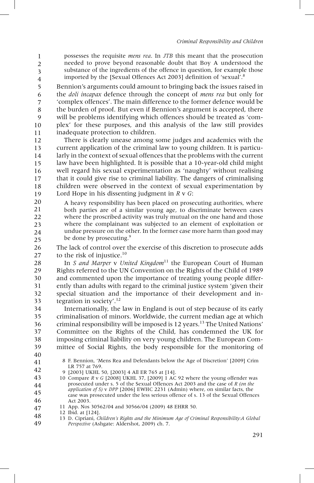possesses the requisite *mens rea*. In *JTB* this meant that the prosecution needed to prove beyond reasonable doubt that Boy A understood the substance of the ingredients of the offence in question, for example those imported by the [Sexual Offences Act 2003] definition of 'sexual'. 8 1 2 3 4

Bennion's arguments could amount to bringing back the issues raised in the *doli incapax* defence through the concept of *mens rea* but only for 'complex offences'. The main difference to the former defence would be the burden of proof. But even if Bennion's argument is accepted, there will be problems identifying which offences should be treated as 'complex' for these purposes, and this analysis of the law still provides inadequate protection to children. 5 6 7 8 9 10 11

There is clearly unease among some judges and academics with the current application of the criminal law to young children. It is particularly in the context of sexual offences that the problems with the current law have been highlighted. It is possible that a 10-year-old child might well regard his sexual experimentation as 'naughty' without realising that it could give rise to criminal liability. The dangers of criminalising children were observed in the context of sexual experimentation by Lord Hope in his dissenting judgment in *R* v *G*: 12 13 14 15 16 17 18 19

A heavy responsibility has been placed on prosecuting authorities, where both parties are of a similar young age, to discriminate between cases where the proscribed activity was truly mutual on the one hand and those where the complainant was subjected to an element of exploitation or undue pressure on the other. In the former case more harm than good may be done by prosecuting.<sup>9</sup> 20 21 22 23 24 25

The lack of control over the exercise of this discretion to prosecute adds to the risk of injustice.<sup>10</sup> 26 27

In *S and Marper v United Kingdom*<sup>11</sup> the European Court of Human Rights referred to the UN Convention on the Rights of the Child of 1989 and commented upon the importance of treating young people differently than adults with regard to the criminal justice system 'given their special situation and the importance of their development and integration in society'. 12 28 29 30 31 32 33

Internationally, the law in England is out of step because of its early criminalisation of minors. Worldwide, the current median age at which criminal responsibility will be imposed is 12 years.<sup>13</sup> The United Nations' Committee on the Rights of the Child, has condemned the UK for imposing criminal liability on very young children. The European Committee of Social Rights, the body responsible for the monitoring of 34 35 36 37 38 39

40

- 8 F. Bennion, 'Mens Rea and Defendants below the Age of Discretion' [2009] Crim LR 757 at 769.
- 9 [2003] UKHL 50, [2003] 4 All ER 765 at [14].
- 10 Compare *R* v *G* [2008] UKHL 37, [2009] 1 AC 92 where the young offender was prosecuted under s. 5 of the Sexual Offences Act 2003 and the case of *R (on the application of S)* v *DPP* [2006] EWHC 2231 (Admin) where, on similar facts, the case was prosecuted under the less serious offence of s. 13 of the Sexual Offences Act 2003. 43 44 45 46
- 11 App. Nos 30562/04 and 30566/04 (2009) 48 EHRR 50. 47
- 12 Ibid. at [124]. 48
- 13 D. Cipriani, *Children's Rights and the Minimum Age of Criminal Responsibility:A Global Perspective* (Ashgate: Aldershot, 2009) ch. 7. 49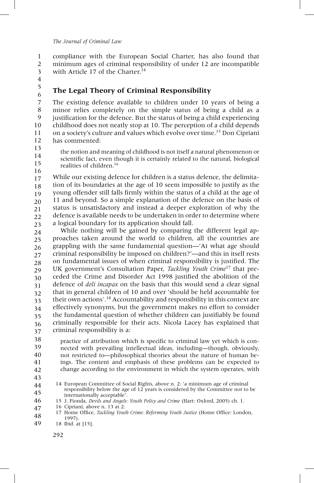compliance with the European Social Charter, has also found that minimum ages of criminal responsibility of under 12 are incompatible with Article 17 of the Charter.<sup>14</sup> 1 2 3

4 5

6

## **The Legal Theory of Criminal Responsibility**

The existing defence available to children under 10 years of being a minor relies completely on the simple status of being a child as a justification for the defence. But the status of being a child experiencing childhood does not neatly stop at 10. The perception of a child depends on a society's culture and values which evolve over time.15 Don Cipriani has commented: 7 8 9 10 11 12

13 14

15

the notion and meaning of childhood is not itself a natural phenomenon or scientific fact, even though it is certainly related to the natural, biological realities of children.16

While our existing defence for children is a status defence, the delimitation of its boundaries at the age of 10 seem impossible to justify as the young offender still falls firmly within the status of a child at the age of 11 and beyond. So a simple explanation of the defence on the basis of status is unsatisfactory and instead a deeper exploration of why the defence is available needs to be undertaken in order to determine where a logical boundary for its application should fall. 16 17 18 19 20 21 22 23

While nothing will be gained by comparing the different legal approaches taken around the world to children, all the countries are grappling with the same fundamental question—'At what age should criminal responsibility be imposed on children?'—and this in itself rests on fundamental issues of when criminal responsibility is justified. The UK government's Consultation Paper, *Tackling Youth Crime*<sup>17</sup> that preceded the Crime and Disorder Act 1998 justified the abolition of the defence of *doli incapax* on the basis that this would send a clear signal that in general children of 10 and over 'should be held accountable for their own actions'.<sup>18</sup> Accountability and responsibility in this context are effectively synonyms, but the government makes no effort to consider the fundamental question of whether children can justifiably be found criminally responsible for their acts. Nicola Lacey has explained that criminal responsibility is a: 24 25 26 27 28 29 30 31 32 33 34 35 36 37

practice of attribution which is specific to criminal law yet which is connected with prevailing intellectual ideas, including—though, obviously, not restricted to—philosophical theories about the nature of human beings. The content and emphasis of these problems can be expected to change according to the environment in which the system operates, with 38 39 40 41 42

43

- 15 J. Fionda, *Devils and Angels: Youth Policy and Crime* (Hart: Oxford, 2005) ch. 1. 46
- 16 Cipriani, above n. 13 at 2. 47
- 17 Home Office, *Tackling Youth Crime: Reforming Youth Justice* (Home Office: London, 1997). 48

18 Ibid. at [15]. 49

<sup>14</sup> European Committee of Social Rights, above n. 2: 'a minimum age of criminal responsibility below the age of 12 years is considered by the Committee not to be internationally acceptable'. 44 45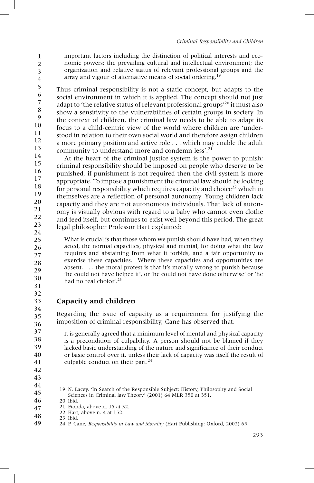important factors including the distinction of political interests and economic powers; the prevailing cultural and intellectual environment; the organization and relative status of relevant professional groups and the array and vigour of alternative means of social ordering.<sup>19</sup>

Thus criminal responsibility is not a static concept, but adapts to the social environment in which it is applied. The concept should not just adapt to 'the relative status of relevant professional groups'<sup>20</sup> it must also show a sensitivity to the vulnerabilities of certain groups in society. In the context of children, the criminal law needs to be able to adapt its focus to a child-centric view of the world where children are 'understood in relation to their own social world and therefore assign children a more primary position and active role . . . which may enable the adult community to understand more and condemn less'.<sup>21</sup> 5 6 7 8 9 10 11 12 13

At the heart of the criminal justice system is the power to punish; criminal responsibility should be imposed on people who deserve to be punished, if punishment is not required then the civil system is more appropriate. To impose a punishment the criminal law should be looking for personal responsibility which requires capacity and choice<sup>22</sup> which in themselves are a reflection of personal autonomy. Young children lack capacity and they are not autonomous individuals. That lack of autonomy is visually obvious with regard to a baby who cannot even clothe and feed itself, but continues to exist well beyond this period. The great legal philosopher Professor Hart explained: 14 15 16 17 18 19 20 21 22 23 24

What is crucial is that those whom we punish should have had, when they acted, the normal capacities, physical and mental, for doing what the law requires and abstaining from what it forbids, and a fair opportunity to exercise these capacities. Where these capacities and opportunities are absent. . . . the moral protest is that it's morally wrong to punish because 'he could not have helped it', or 'he could not have done otherwise' or 'he had no real choice'. 23

## **Capacity and children**

Regarding the issue of capacity as a requirement for justifying the imposition of criminal responsibility, Cane has observed that: 34 35 36

It is generally agreed that a minimum level of mental and physical capacity is a precondition of culpability. A person should not be blamed if they lacked basic understanding of the nature and significance of their conduct or basic control over it, unless their lack of capacity was itself the result of culpable conduct on their part.<sup>24</sup>

<sup>41</sup> 42

<sup>19</sup> N. Lacey, 'In Search of the Responsible Subject: History, Philosophy and Social Sciences in Criminal law Theory' (2001) 64 MLR 350 at 351.

<sup>20</sup> Ibid. 46

<sup>21</sup> Fionda, above n. 15 at 32. 47

<sup>22</sup> Hart, above n. 4 at 152. 23 Ibid. 48

<sup>24</sup> P. Cane, *Responsibility in Law and Morality* (Hart Publishing: Oxford, 2002) 65. 49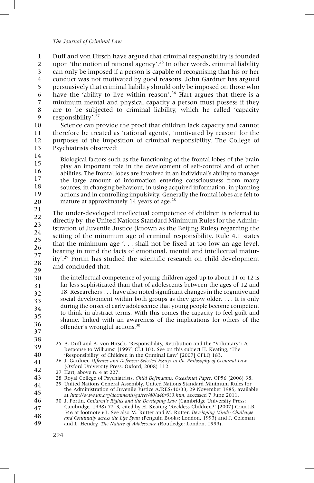Duff and von Hirsch have argued that criminal responsibility is founded upon 'the notion of rational agency'.<sup>25</sup> In other words, criminal liability can only be imposed if a person is capable of recognising that his or her conduct was not motivated by good reasons. John Gardner has argued persuasively that criminal liability should only be imposed on those who have the 'ability to live within reason'.<sup>26</sup> Hart argues that there is a minimum mental and physical capacity a person must possess if they are to be subjected to criminal liability, which he called 'capacity responsibility'. 27 1 2 3 4 5 6 7 8 9

Science can provide the proof that children lack capacity and cannot therefore be treated as 'rational agents', 'motivated by reason' for the purposes of the imposition of criminal responsibility. The College of Psychiatrists observed: 10 11 12 13

Biological factors such as the functioning of the frontal lobes of the brain play an important role in the development of self-control and of other abilities. The frontal lobes are involved in an individual's ability to manage the large amount of information entering consciousness from many sources, in changing behaviour, in using acquired information, in planning actions and in controlling impulsivity. Generally the frontal lobes are felt to mature at approximately 14 years of age.<sup>28</sup> 14 15 16 17 18 19 20

The under-developed intellectual competence of children is referred to directly by the United Nations Standard Minimum Rules for the Administration of Juvenile Justice (known as the Beijing Rules) regarding the setting of the minimum age of criminal responsibility. Rule 4.1 states that the minimum age  $\ldots$  shall not be fixed at too low an age level, bearing in mind the facts of emotional, mental and intellectual maturity'.<sup>29</sup> Fortin has studied the scientific research on child development and concluded that: 21 22 23 24 25 26 27 28 29

the intellectual competence of young children aged up to about 11 or 12 is far less sophisticated than that of adolescents between the ages of 12 and 18. Researchers . . . have also noted significant changes in the cognitive and social development within both groups as they grow older. . . . It is only during the onset of early adolescence that young people become competent to think in abstract terms. With this comes the capacity to feel guilt and shame, linked with an awareness of the implications for others of the offender's wrongful actions.30 30 31 32 33 34 35 36

- 37 38
- 25 A. Duff and A. von Hirsch, 'Responsibility, Retribution and the "Voluntary": A Response to Williams' [1997] CLJ 103. See on this subject H. Keating, 'The 'Responsibility' of Children in the Criminal Law' [2007] CFLQ 183. 39 40
- 26 J. Gardner, *Offences and Defences: Selected Essays in the Philosophy of Criminal Law* (Oxford University Press: Oxford, 2008) 112. 41 42
	- 27 Hart, above n. 4 at 227.
- 28 Royal College of Psychiatrists, *Child Defendants: Occasional Paper*, OP56 (2006) 38. 43
- 29 United Nations General Assembly, United Nations Standard Minimum Rules for the Administration of Juvenile Justice A/RES/40/33, 29 November 1985, available at *http://www.un.org/documents/ga/res/40/a40r033.htm*, accessed 7 June 2011. 44 45
- 30 J. Fortin, *Children's Rights and the Developing Law* (Cambridge University Press: Cambridge, 1998) 72–3, cited by H. Keating 'Reckless Children?' [2007] Crim LR 546 at footnote 61. See also M. Rutter and M. Rutter, *Developing Minds: Challenge and Continuity across the Life Span* (Penguin Books: London, 1993) and J. Coleman and L. Hendry, *The Nature of Adolescence* (Routledge: London, 1999). 46 47 48 49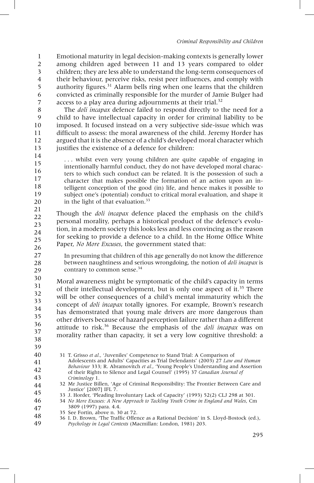Emotional maturity in legal decision-making contexts is generally lower among children aged between 11 and 13 years compared to older children; they are less able to understand the long-term consequences of their behaviour, perceive risks, resist peer influences, and comply with authority figures. $31$  Alarm bells ring when one learns that the children convicted as criminally responsible for the murder of Jamie Bulger had access to a play area during adjournments at their trial.<sup>32</sup> 1 2 3 4 5 6 7

The *doli incapax* defence failed to respond directly to the need for a child to have intellectual capacity in order for criminal liability to be imposed. It focused instead on a very subjective side-issue which was difficult to assess: the moral awareness of the child. Jeremy Horder has argued that it is the absence of a child's developed moral character which justifies the existence of a defence for children: 8 9 10 11 12 13

... whilst even very young children are quite capable of engaging in intentionally harmful conduct, they do not have developed moral characters to which such conduct can be related. It is the possession of such a character that makes possible the formation of an action upon an intelligent conception of the good (in) life, and hence makes it possible to subject one's (potential) conduct to critical moral evaluation, and shape it in the light of that evaluation.<sup>33</sup> 14 15 16 17 18 19 20

Though the *doli incapax* defence placed the emphasis on the child's personal morality, perhaps a historical product of the defence's evolution, in a modern society this looks less and less convincing as the reason for seeking to provide a defence to a child. In the Home Office White Paper, *No More Excuses*, the government stated that: 21 22 23 24 25 26

In presuming that children of this age generally do not know the difference between naughtiness and serious wrongdoing, the notion of *doli incapax* is contrary to common sense.<sup>34</sup>

Moral awareness might be symptomatic of the child's capacity in terms of their intellectual development, but is only one aspect of it.<sup>35</sup> There will be other consequences of a child's mental immaturity which the concept of *doli incapax* totally ignores. For example, Brown's research has demonstrated that young male drivers are more dangerous than other drivers because of hazard perception failure rather than a different attitude to risk.36 Because the emphasis of the *doli incapax* was on morality rather than capacity, it set a very low cognitive threshold: a 30 31 32 33 34 35 36 37 38

39

27 28 29

40 41 42

43

31 T. Grisso *et al.*, 'Juveniles' Competence to Stand Trial: A Comparison of Adolescents and Adults' Capacities as Trial Defendants' (2003) 27 *Law and Human Behaviour* 333; R. Abramovitch *et al.*, 'Young People's Understanding and Assertion

of their Rights to Silence and Legal Counsel' (1995) 37 *Canadian Journal of Criminology* 1.

34 *No More Excuses: A New Approach to Tackling Youth Crime in England and Wales*, Cm 3809 (1997) para. 4.4. 46 47

35 See Fortin, above n. 30 at 72. 48

<sup>32</sup> Mr Justice Billen, 'Age of Criminal Responsibility: The Frontier Between Care and Justice' [2007] IFL 7. 44 45

<sup>33</sup> J. Horder, 'Pleading Involuntary Lack of Capacity' (1993) 52(2) CLJ 298 at 301.

<sup>36</sup> I. D. Brown, 'The Traffic Offence as a Rational Decision' in S. Lloyd-Bostock (ed.), *Psychology in Legal Contexts* (Macmillan: London, 1981) 203. 49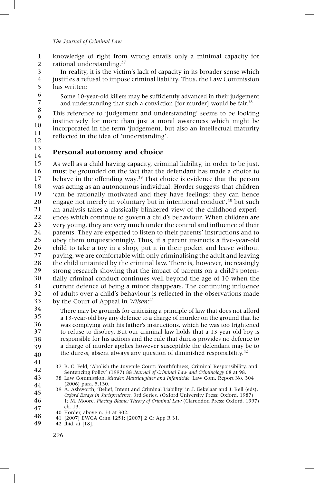knowledge of right from wrong entails only a minimal capacity for rational understanding.<sup>37</sup> 1 2

In reality, it is the victim's lack of capacity in its broader sense which justifies a refusal to impose criminal liability. Thus, the Law Commission has written: 3 4 5

Some 10-year-old killers may be sufficiently advanced in their judgement and understanding that such a conviction [for murder] would be fair.<sup>38</sup>

This reference to 'judgement and understanding' seems to be looking instinctively for more than just a moral awareness which might be incorporated in the term 'judgement, but also an intellectual maturity reflected in the idea of 'understanding'. 8 9 10 11 12

13 14

6 7

## **Personal autonomy and choice**

As well as a child having capacity, criminal liability, in order to be just, must be grounded on the fact that the defendant has made a choice to behave in the offending way.<sup>39</sup> That choice is evidence that the person was acting as an autonomous individual. Horder suggests that children 'can be rationally motivated and they have feelings; they can hence engage not merely in voluntary but in intentional conduct', <sup>40</sup> but such an analysis takes a classically blinkered view of the childhood experiences which continue to govern a child's behaviour. When children are very young, they are very much under the control and influence of their parents. They are expected to listen to their parents' instructions and to obey them unquestioningly. Thus, if a parent instructs a five-year-old child to take a toy in a shop, put it in their pocket and leave without paying, we are comfortable with only criminalising the adult and leaving the child untainted by the criminal law. There is, however, increasingly strong research showing that the impact of parents on a child's potentially criminal conduct continues well beyond the age of 10 when the current defence of being a minor disappears. The continuing influence of adults over a child's behaviour is reflected in the observations made by the Court of Appeal in *Wilson*: 41 15 16 17 18 19 20 21 22 23 24 25 26 27 28 29 30 31 32 33

There may be grounds for criticizing a principle of law that does not afford a 13-year-old boy any defence to a charge of murder on the ground that he was complying with his father's instructions, which he was too frightened to refuse to disobey. But our criminal law holds that a 13 year old boy is responsible for his actions and the rule that duress provides no defence to a charge of murder applies however susceptible the defendant may be to the duress, absent always any question of diminished responsibility.<sup>42</sup> 34 35 36 37 38 39 40

37 B. C. Feld, 'Abolish the Juvenile Court: Youthfulness, Criminal Responsibility, and Sentencing Policy' (1997) 88 *Journal of Criminal Law and Criminology* 68 at 98. 42

- 39 A. Ashworth, 'Belief, Intent and Criminal Liability' in J. Eekelaar and J. Bell (eds), *Oxford Essays in Jurisprudence*, 3rd Series, (Oxford University Press: Oxford, 1987) 1; M. Moore, *Placing Blame: Theory of Criminal Law* (Clarendon Press: Oxford, 1997) ch. 13. 45 46 47
- 40 Horder, above n. 33 at 302. 48
	- 41 [2007] EWCA Crim 1251; [2007] 2 Cr App R 31.

42 Ibid. at [18]. 49

<sup>41</sup>

<sup>38</sup> Law Commission, *Murder, Manslaughter and Infanticide*, Law Com. Report No. 304 (2006) para. 5.130. 43 44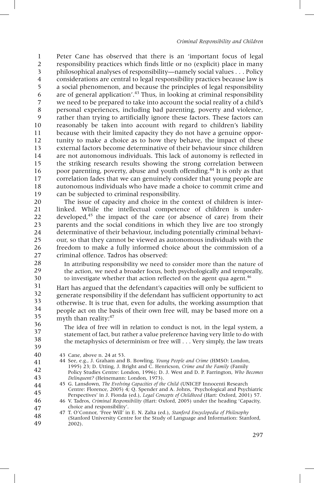Peter Cane has observed that there is an 'important focus of legal responsibility practices which finds little or no (explicit) place in many philosophical analyses of responsibility—namely social values . . . Policy considerations are central to legal responsibility practices because law is a social phenomenon, and because the principles of legal responsibility are of general application'.<sup>43</sup> Thus, in looking at criminal responsibility we need to be prepared to take into account the social reality of a child's personal experiences, including bad parenting, poverty and violence, rather than trying to artificially ignore these factors. These factors can reasonably be taken into account with regard to children's liability because with their limited capacity they do not have a genuine opportunity to make a choice as to how they behave, the impact of these external factors become determinative of their behaviour since children are not autonomous individuals. This lack of autonomy is reflected in the striking research results showing the strong correlation between poor parenting, poverty, abuse and youth offending.<sup>44</sup> It is only as that correlation fades that we can genuinely consider that young people are autonomous individuals who have made a choice to commit crime and can be subjected to criminal responsibility. 1 2 3 4 5 6 7 8 9 10 11 12 13 14 15 16 17 18 19

The issue of capacity and choice in the context of children is interlinked. While the intellectual competence of children is underdeveloped, $45$  the impact of the care (or absence of care) from their parents and the social conditions in which they live are too strongly determinative of their behaviour, including potentially criminal behaviour, so that they cannot be viewed as autonomous individuals with the freedom to make a fully informed choice about the commission of a criminal offence. Tadros has observed: 20 21 22 23 24 25 26 27

In attributing responsibility we need to consider more than the nature of the action, we need a broader focus, both psychologically and temporally, to investigate whether that action reflected on the agent qua agent.<sup>46</sup>

Hart has argued that the defendant's capacities will only be sufficient to generate responsibility if the defendant has sufficient opportunity to act otherwise. It is true that, even for adults, the working assumption that people act on the basis of their own free will, may be based more on a myth than reality:<sup>47</sup> 31 32 33 34 35 36

37 38

39

28 29 30

> The idea of free will in relation to conduct is not, in the legal system, a statement of fact, but rather a value preference having very little to do with the metaphysics of determinism or free will . . . Very simply, the law treats

- 43 Cane, above n. 24 at 53. 40
- 44 See, e.g., J. Graham and B. Bowling, *Young People and Crime* (HMSO: London, 1995) 23; D. Utting, J. Bright and C. Henricson, *Crime and the Family* (Family Policy Studies Centre: London, 1996); D. J. West and D. P. Farrington, *Who Becomes Delinquent?* (Heinemann: London, 1973). 41 42 43

45 G. Lansdown, *The Evolving Capacities of the Child* (UNICEF Innocenti Research Centre: Florence, 2005) 4; Q. Spender and A. Johns, 'Psychological and Psychiatric Perspectives' in J. Fionda (ed.), *Legal Concepts of Childhood* (Hart: Oxford, 2001) 57. 44 45

46 V. Tadros, *Criminal Responsibility* (Hart: Oxford, 2005) under the heading 'Capacity, choice and responsibility'. 46 47

47 T. O'Connor, 'Free Will' in E. N. Zalta (ed.), *Stanford Encyclopedia of Philosophy* (Stanford University Centre for the Study of Language and Information: Stanford, 2002). 48 49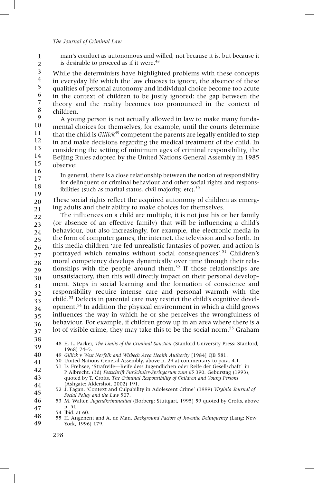man's conduct as autonomous and willed, not because it is, but because it is desirable to proceed as if it were.<sup>48</sup> 1 2

While the determinists have highlighted problems with these concepts in everyday life which the law chooses to ignore, the absence of these qualities of personal autonomy and individual choice become too acute in the context of children to be justly ignored: the gap between the theory and the reality becomes too pronounced in the context of children. 3 4 5 6 7 8

A young person is not actually allowed in law to make many fundamental choices for themselves, for example, until the courts determine that the child is *Gillick*<sup>49</sup> competent the parents are legally entitled to step in and make decisions regarding the medical treatment of the child. In considering the setting of minimum ages of criminal responsibility, the Beijing Rules adopted by the United Nations General Assembly in 1985 observe: 9 10 11 12 13 14 15 16

In general, there is a close relationship between the notion of responsibility for delinquent or criminal behaviour and other social rights and responsibilities (such as marital status, civil majority, etc). $50$ 17 18 19

These social rights reflect the acquired autonomy of children as emerging adults and their ability to make choices for themselves. 20 21

The influences on a child are multiple, it is not just his or her family (or absence of an effective family) that will be influencing a child's behaviour, but also increasingly, for example, the electronic media in the form of computer games, the internet, the television and so forth. In this media children 'are fed unrealistic fantasies of power, and action is portrayed which remains without social consequences'. <sup>51</sup> Children's moral competency develops dynamically over time through their relationships with the people around them.52 If those relationships are unsatisfactory, then this will directly impact on their personal development. Steps in social learning and the formation of conscience and responsibility require intense care and personal warmth with the child.53 Defects in parental care may restrict the child's cognitive development.54 In addition the physical environment in which a child grows influences the way in which he or she perceives the wrongfulness of behaviour. For example, if children grow up in an area where there is a lot of visible crime, they may take this to be the social norm.<sup>55</sup> Graham 22 23 24 25 26 27 28 29 30 31 32 33 34 35 36 37

38

48 H. L. Packer, *The Limits of the Criminal Sanction* (Stanford University Press: Stanford, 1968) 74–5. 39

- 51 D. Frehsee, 'Strafreife—Reife dess Jugendlichen oder Reife der Gesellschaft' in P Albrecht, (3d) *Festschrift FurSchuler-Springorum zum 65* 390. Geburstag (1993), quoted by T. Crofts, *The Criminal Responsibility of Children and Young Persons* 42 43
- (Ashgate: Aldershot, 2002) 191. 52 J. Fagan, 'Context and Culpability in Adolescent Crime' (1999) *Virginia Journal of Social Policy and the Law* 507. 44 45

53 M. Walter, *Jugendkriminalitat* (Borberg: Stuttgart, 1995) 59 quoted by Crofts, above n. 51. 46 47

<sup>49</sup> *Gillick* v *West Norfolk and Wisbech Area Health Authority* [1984] QB 581. 40

<sup>50</sup> United Nations General Assembly, above n. 29 at commentary to para. 4.1. 41

<sup>54</sup> Ibid. at 60.

<sup>55</sup> H. Angenent and A. de Man, *Background Factors of Juvenile Delinquency* (Lang: New York, 1996) 179. 48 49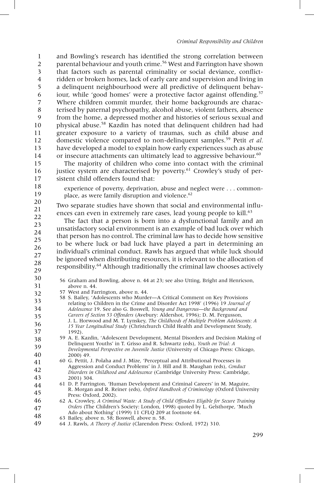and Bowling's research has identified the strong correlation between parental behaviour and youth crime.<sup>56</sup> West and Farrington have shown that factors such as parental criminality or social deviance, conflictridden or broken homes, lack of early care and supervision and living in a delinquent neighbourhood were all predictive of delinquent behaviour, while 'good homes' were a protective factor against offending.<sup>57</sup> Where children commit murder, their home backgrounds are characterised by paternal psychopathy, alcohol abuse, violent fathers, absence from the home, a depressed mother and histories of serious sexual and physical abuse.58 Kazdin has noted that delinquent children had had greater exposure to a variety of traumas, such as child abuse and domestic violence compared to non-delinquent samples.<sup>59</sup> Petit *et al.* have developed a model to explain how early experiences such as abuse or insecure attachments can ultimately lead to aggressive behaviour.<sup>60</sup> 1 2 3 4 5 6 7 8 9 10 11 12 13 14

The majority of children who come into contact with the criminal justice system are characterised by poverty.<sup>61</sup> Crowley's study of persistent child offenders found that: 15 16 17

18 19

experience of poverty, deprivation, abuse and neglect were . . . commonplace, as were family disruption and violence.<sup>62</sup>

Two separate studies have shown that social and environmental influences can even in extremely rare cases, lead young people to kill.<sup>63</sup> 20 21 22

The fact that a person is born into a dysfunctional family and an unsatisfactory social environment is an example of bad luck over which that person has no control. The criminal law has to decide how sensitive to be where luck or bad luck have played a part in determining an individual's criminal conduct. Rawls has argued that while luck should be ignored when distributing resources, it is relevant to the allocation of responsibility.64 Although traditionally the criminal law chooses actively 23 24 25 26 27 28

- 29 30
- 56 Graham and Bowling, above n. 44 at 23; see also Utting, Bright and Henricson, above n. 44. 31
- 57 West and Farrington, above n. 44. 32
- 58 S. Bailey, 'Adolescents who Murder—A Critical Comment on Key Provisions relating to Children in the Crime and Disorder Act 1998' (1996) 19 *Journal of Adolescence* 19. See also G. Boswell, *Young and Dangerous—the Background and Careers of Section 53 Offenders* (Avebury: Aldershot, 1996); D. M. Fergusson, J. L. Horwood and M. T. Lynskey, *The Childhoods of Multiple Problem Adolescents: A 15 Year Longitudinal Study* (Christchurch Child Health and Development Study, 1992). 33 34 35 36 37
- 59 A. E. Kazdin, 'Adolescent Development, Mental Disorders and Decision Making of Delinquent Youths' in T. Grisso and R. Schwartz (eds), *Youth on Trial: A Developmental Perspective on Juvenile Justice* (University of Chicago Press: Chicago, 2000) 49. 38 39 40
- 60 G. Pettit, J. Polaha and J. Mize, 'Perceptual and Attributional Processes in Aggression and Conduct Problems' in J. Hill and B. Maughan (eds), *Conduct Disorders in Childhood and Adolescence* (Cambridge University Press: Cambridge, 2001) 304. 41 42 43
- 61 D. P. Farrington, 'Human Development and Criminal Careers' in M. Maguire, R. Morgan and R. Reiner (eds), *Oxford Handbook of Criminology* (Oxford University Press: Oxford, 2002). 44 45
- 62 A. Crowley, *A Criminal Waste: A Study of Child Offenders Eligible for Secure Training Orders* (The Children's Society: London, 1998) quoted by L. Gelsthorpe, 'Much Ado about Nothing' (1999) 11 CFLQ 209 at footnote 64. 46 47 48
- 63 Bailey, above n. 58; Boswell, above n. 58.
- 64 J. Rawls, *A Theory of Justice* (Clarendon Press: Oxford, 1972) 310. 49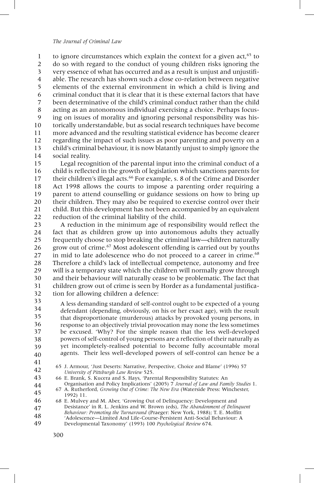to ignore circumstances which explain the context for a given  $act<sub>65</sub>$  to do so with regard to the conduct of young children risks ignoring the very essence of what has occurred and as a result is unjust and unjustifiable. The research has shown such a close co-relation between negative elements of the external environment in which a child is living and criminal conduct that it is clear that it is these external factors that have been determinative of the child's criminal conduct rather than the child acting as an autonomous individual exercising a choice. Perhaps focusing on issues of morality and ignoring personal responsibility was historically understandable, but as social research techniques have become more advanced and the resulting statistical evidence has become clearer regarding the impact of such issues as poor parenting and poverty on a child's criminal behaviour, it is now blatantly unjust to simply ignore the social reality. 1 2 3 4 5 6 7 8 9 10 11 12 13 14

Legal recognition of the parental input into the criminal conduct of a child is reflected in the growth of legislation which sanctions parents for their children's illegal acts.<sup>66</sup> For example, s. 8 of the Crime and Disorder Act 1998 allows the courts to impose a parenting order requiring a parent to attend counselling or guidance sessions on how to bring up their children. They may also be required to exercise control over their child. But this development has not been accompanied by an equivalent reduction of the criminal liability of the child. 15 16 17 18 19 20 21 22

A reduction in the minimum age of responsibility would reflect the fact that as children grow up into autonomous adults they actually frequently choose to stop breaking the criminal law—children naturally grow out of crime.67 Most adolescent offending is carried out by youths in mid to late adolescence who do not proceed to a career in crime.<sup>68</sup> Therefore a child's lack of intellectual competence, autonomy and free will is a temporary state which the children will normally grow through and their behaviour will naturally cease to be problematic. The fact that children grow out of crime is seen by Horder as a fundamental justification for allowing children a defence: 23 24 25 26 27 28 29 30 31 32

A less demanding standard of self-control ought to be expected of a young defendant (depending, obviously, on his or her exact age), with the result that disproportionate (murderous) attacks by provoked young persons, in response to an objectively trivial provocation may none the less sometimes be excused. 'Why? For the simple reason that the less well-developed powers of self-control of young persons are a reflection of their naturally as yet incompletely-realised potential to become fully accountable moral agents. Their less well-developed powers of self-control can hence be a 33 34 35 36 37 38 39 40

- 41
- 65 J. Armour, 'Just Deserts: Narrative, Perspective, Choice and Blame' (1996) 57 *University of Pittsburgh Law Review* 525. 42 43

66 E. Brank, S. Kucera and S. Hays, 'Parental Responsibility Statutes: An

- Organisation and Policy Implications' (2005) 7 *Journal of Law and Family Studies* 1. 67 A. Rutherford, *Growing Out of Crime: The New Era* (Waterside Press: Winchester, 1992) 11. 44 45
- 68 E. Mulvey and M. Aber, 'Growing Out of Delinquency: Development and Desistance' in R. L. Jenkins and W. Brown (eds), *The Abandonment of Delinquent Behaviour: Promoting the Turnaround* (Praeger: New York, 1988); T. E. Moffitt 'Adolescence—Limited And Life-Course-Persistent Anti-Social Behaviour: A Developmental Taxonomy' (1993) 100 *Psychological Review* 674. 46 47 48 49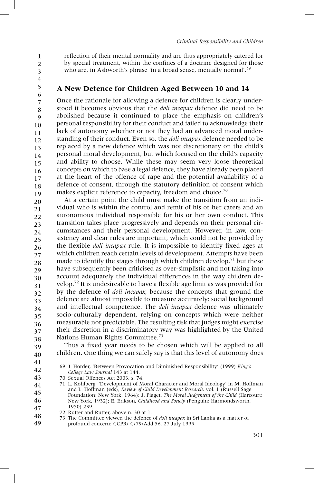1

2

reflection of their mental normality and are thus appropriately catered for by special treatment, within the confines of a doctrine designed for those who are, in Ashworth's phrase 'in a broad sense, mentally normal'.<sup>69</sup>

3 4 5

## **A New Defence for Children Aged Between 10 and 14**

Once the rationale for allowing a defence for children is clearly understood it becomes obvious that the *doli incapax* defence did need to be abolished because it continued to place the emphasis on children's personal responsibility for their conduct and failed to acknowledge their lack of autonomy whether or not they had an advanced moral understanding of their conduct. Even so, the *doli incapax* defence needed to be replaced by a new defence which was not discretionary on the child's personal moral development, but which focused on the child's capacity and ability to choose. While these may seem very loose theoretical concepts on which to base a legal defence, they have already been placed at the heart of the offence of rape and the potential availability of a defence of consent, through the statutory definition of consent which makes explicit reference to capacity, freedom and choice.<sup>70</sup> 6 7 8 9 10 11 12 13 14 15 16 17 18 19

At a certain point the child must make the transition from an individual who is within the control and remit of his or her carers and an autonomous individual responsible for his or her own conduct. This transition takes place progressively and depends on their personal circumstances and their personal development. However, in law, consistency and clear rules are important, which could not be provided by the flexible *doli incapax* rule. It is impossible to identify fixed ages at which children reach certain levels of development. Attempts have been made to identify the stages through which children develop, $71$  but these have subsequently been criticised as over-simplistic and not taking into account adequately the individual differences in the way children develop.72 It is undesireable to have a flexible age limit as was provided for by the defence of *doli incapax*, because the concepts that ground the defence are almost impossible to measure accurately: social background and intellectual competence. The *doli incapax* defence was ultimately socio-culturally dependent, relying on concepts which were neither measurable nor predictable. The resulting risk that judges might exercise their discretion in a discriminatory way was highlighted by the United Nations Human Rights Committee.73 20 21 22 23 24 25 26 27 28 29 30 31 32 33 34 35 36 37 38

Thus a fixed year needs to be chosen which will be applied to all children. One thing we can safely say is that this level of autonomy does 39 40

41 42

69 J. Horder, 'Between Provocation and Diminished Responsibility' (1999) *King's College Law Journal* 143 at 144.

- 72 Rutter and Rutter, above n. 30 at 1. 48
- 73 The Committee viewed the defence of *doli incapax* in Sri Lanka as a matter of profound concern: CCPR/ C/79/Add.56, 27 July 1995. 49

<sup>70</sup> Sexual Offences Act 2003, s. 74. 43

<sup>71</sup> L. Kohlberg, 'Development of Moral Character and Moral Ideology' in M. Hoffman and L. Hoffman (eds), *Review of Child Development Research*, vol. 1 (Russell Sage Foundation: New York, 1964); J. Piaget, *The Moral Judgement of the Child* (Harcourt: New York, 1932); E. Erikson, *Childhood and Society* (Penguin: Harmondsworth, 1950) 239. 44 45 46 47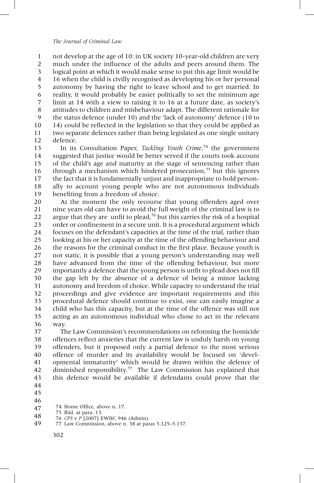not develop at the age of 10: in UK society 10-year-old children are very much under the influence of the adults and peers around them. The logical point at which it would make sense to put this age limit would be 16 when the child is civilly recognised as developing his or her personal autonomy by having the right to leave school and to get married. In reality, it would probably be easier politically to set the minimum age limit at 14 with a view to raising it to 16 at a future date, as society's attitudes to children and misbehaviour adapt. The different rationale for the status defence (under 10) and the 'lack of autonomy' defence (10 to 14) could be reflected in the legislation so that they could be applied as two separate defences rather than being legislated as one single unitary defence. 1 2 3 4 5 6 7 8 9 10 11 12

In its Consultation Paper, *Tackling Youth Crime*, <sup>74</sup> the government suggested that justice would be better served if the courts took account of the child's age and maturity at the stage of sentencing rather than through a mechanism which hindered prosecution,75 but this ignores the fact that it is fundamentally unjust and inappropriate to hold personally to account young people who are not autonomous individuals benefiting from a freedom of choice. 13 14 15 16 17 18 19

At the moment the only recourse that young offenders aged over nine years old can have to avoid the full weight of the criminal law is to argue that they are unfit to plead,  $76$  but this carries the risk of a hospital order or confinement in a secure unit. It is a procedural argument which focuses on the defendant's capacities at the time of the trial, rather than looking at his or her capacity at the time of the offending behaviour and the reasons for the criminal conduct in the first place. Because youth is not static, it is possible that a young person's understanding may well have advanced from the time of the offending behaviour, but more importantly a defence that the young person is unfit to plead does not fill the gap left by the absence of a defence of being a minor lacking autonomy and freedom of choice. While capacity to understand the trial proceedings and give evidence are important requirements and this procedural defence should continue to exist, one can easily imagine a child who has this capacity, but at the time of the offence was still not acting as an autonomous individual who chose to act in the relevant way. 20 21 22 23 24 25 26 27 28 29 30 31 32 33 34 35 36

The Law Commission's recommendations on reforming the homicide offences reflect anxieties that the current law is unduly harsh on young offenders, but it proposed only a partial defence to the most serious offence of murder and its availability would be focused on 'developmental immaturity' which would be drawn within the defence of diminished responsibility.<sup>77</sup> The Law Commission has explained that this defence would be available if defendants could prove that the 37 38 39 40 41 42 43 44

- 46
- 74 Home Office, above n. 17. 47
- 75 Ibid. at para. 13. 48
	- 76 *CPS* v *P* [2007] EWHC 946 (Admin).
- 77 Law Commission, above n. 38 at paras 5.125–5.137. 49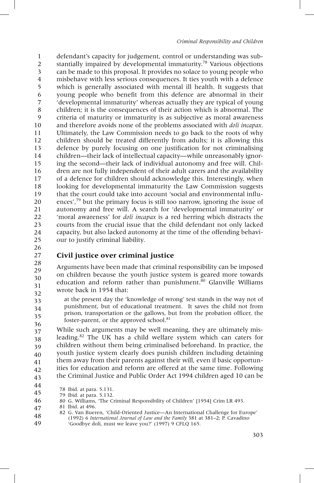defendant's capacity for judgement, control or understanding was substantially impaired by developmental immaturity.<sup>78</sup> Various objections can be made to this proposal. It provides no solace to young people who misbehave with less serious consequences. It ties youth with a defence which is generally associated with mental ill health. It suggests that young people who benefit from this defence are abnormal in their 'developmental immaturity' whereas actually they are typical of young children; it is the consequences of their action which is abnormal. The criteria of maturity or immaturity is as subjective as moral awareness and therefore avoids none of the problems associated with *doli incapax*. Ultimately, the Law Commission needs to go back to the roots of why children should be treated differently from adults; it is allowing this defence by purely focusing on one justification for not criminalising children—their lack of intellectual capacity—while unreasonably ignoring the second—their lack of individual autonomy and free will. Children are not fully independent of their adult carers and the availability of a defence for children should acknowledge this. Interestingly, when looking for developmental immaturity the Law Commission suggests that the court could take into account 'social and environmental influences',<sup>79</sup> but the primary focus is still too narrow, ignoring the issue of autonomy and free will. A search for 'developmental immaturity' or 'moral awareness' for *doli incapax* is a red herring which distracts the courts from the crucial issue that the child defendant not only lacked capacity, but also lacked autonomy at the time of the offending behaviour to justify criminal liability. 1 2 3 4 5 6 7 8 9 10 11 12 13 14 15 16 17 18 19 20 21 22 23 24 25

26 27

33 34 35

## **Civil justice over criminal justice**

Arguments have been made that criminal responsibility can be imposed on children because the youth justice system is geared more towards education and reform rather than punishment. $80$  Glanville Williams wrote back in 1954 that: 28 29 30 31 32

at the present day the 'knowledge of wrong' test stands in the way not of punishment, but of educational treatment. It saves the child not from prison, transportation or the gallows, but from the probation officer, the foster-parent, or the approved school.<sup>81</sup>

While such arguments may be well meaning, they are ultimately misleading.82 The UK has a child welfare system which can caters for children without them being criminalised beforehand. In practice, the youth justice system clearly does punish children including detaining them away from their parents against their will, even if basic opportunities for education and reform are offered at the same time. Following the Criminal Justice and Public Order Act 1994 children aged 10 can be 36 37 38 39 40 41 42 43

<sup>78</sup> Ibid. at para. 5.131. 44

<sup>79</sup> Ibid. at para. 5.132. 45

<sup>80</sup> G. Williams, 'The Criminal Responsibility of Children' [1954] Crim LR 493. 46

<sup>81</sup> Ibid. at 496. 47

<sup>82</sup> G. Van Bueren, 'Child-Oriented Justice—An International Challenge for Europe' (1992) 6 *International Journal of Law and the Family* 381 at 381–2; P. Cavadino  $\hat{C}$ Goodbye doli, must we leave you?' (1997) 9 CFLQ 165. 48 49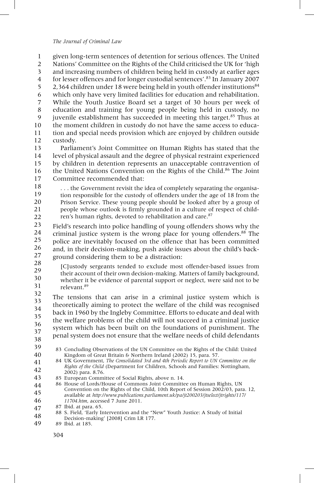given long-term sentences of detention for serious offences. The United Nations' Committee on the Rights of the Child criticised the UK for 'high and increasing numbers of children being held in custody at earlier ages for lesser offences and for longer custodial sentences'. <sup>83</sup> In January 2007 2.364 children under 18 were being held in youth offender institutions $84$ which only have very limited facilities for education and rehabilitation. While the Youth Justice Board set a target of 30 hours per week of education and training for young people being held in custody, no juvenile establishment has succeeded in meeting this target.<sup>85</sup> Thus at the moment children in custody do not have the same access to education and special needs provision which are enjoyed by children outside custody. 1 2 3 4 5 6 7 8 9 10 11 12

Parliament's Joint Committee on Human Rights has stated that the level of physical assault and the degree of physical restraint experienced by children in detention represents an unacceptable contravention of the United Nations Convention on the Rights of the Child.<sup>86</sup> The Joint Committee recommended that: 13 14 15 16 17

. . . the Government revisit the idea of completely separating the organisation responsible for the custody of offenders under the age of 18 from the Prison Service. These young people should be looked after by a group of people whose outlook is firmly grounded in a culture of respect of children's human rights, devoted to rehabilitation and care.<sup>87</sup> 18 19 20 21 22

Field's research into police handling of young offenders shows why the criminal justice system is the wrong place for young offenders.88 The police are inevitably focused on the offence that has been committed and, in their decision-making, push aside issues about the child's background considering them to be a distraction: 23 24 25 26 27

[C]ustody sergeants tended to exclude most offender-based issues from their account of their own decision-making. Matters of family background, whether it be evidence of parental support or neglect, were said not to be relevant.89 28 29 30 31

The tensions that can arise in a criminal justice system which is theoretically aiming to protect the welfare of the child was recognised back in 1960 by the Ingleby Committee. Efforts to educate and deal with the welfare problems of the child will not succeed in a criminal justice system which has been built on the foundations of punishment. The penal system does not ensure that the welfare needs of child defendants 32 33 34 35 36 37 38

39

83 Concluding Observations of the UN Committee on the Rights of the Child: United Kingdom of Great Britain & Northern Ireland (2002) 15, para. 57. 40

- 84 UK Government, *The Consolidated 3rd and 4th Periodic Report to UN Committee on the Rights of the Child* (Department for Children, Schools and Families: Nottingham, 2002) para. 8.76. 41 42
- 85 European Committee of Social Rights, above n. 14. 43
- 86 House of Lords/House of Commons Joint Committee on Human Rights, UN Convention on the Rights of the Child, 10th Report of Session 2002/03, para. 12, available at *http://www.publications.parliament.uk/pa/jt200203/jtselect/jtrights/117/ 11704.htm*, accessed 7 June 2011. 44 45 46
- 87 Ibid. at para. 65. 47

89 Ibid. at 185. 49

<sup>88</sup> S. Field, 'Early Intervention and the "New" Youth Justice: A Study of Initial Decision-making' [2008] Crim LR 177. 48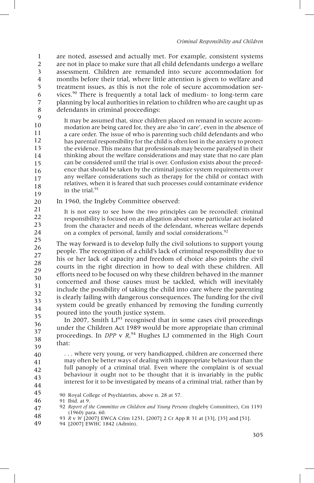are noted, assessed and actually met. For example, consistent systems are not in place to make sure that all child defendants undergo a welfare assessment. Children are remanded into secure accommodation for months before their trial, where little attention is given to welfare and treatment issues, as this is not the role of secure accommodation services.90 There is frequently a total lack of medium- to long-term care planning by local authorities in relation to children who are caught up as defendants in criminal proceedings: 1 2 3 4 5 6 7 8

It may be assumed that, since children placed on remand in secure accommodation are being cared for, they are also 'in care', even in the absence of a care order. The issue of who is parenting such child defendants and who has parental responsibility for the child is often lost in the anxiety to protect the evidence. This means that professionals may become paralysed in their thinking about the welfare considerations and may state that no care plan can be considered until the trial is over. Confusion exists about the precedence that should be taken by the criminal justice system requirements over any welfare considerations such as therapy for the child or contact with relatives, when it is feared that such processes could contaminate evidence in the trial.<sup>91</sup> 9 10 11 12 13 14 15 16 17 18 19

- In 1960, the Ingleby Committee observed: 20
- It is not easy to see how the two principles can be reconciled: criminal responsibility is focused on an allegation about some particular act isolated from the character and needs of the defendant, whereas welfare depends on a complex of personal, family and social considerations.<sup>92</sup> 21 22 23 24

The way forward is to develop fully the civil solutions to support young people. The recognition of a child's lack of criminal responsibility due to his or her lack of capacity and freedom of choice also points the civil courts in the right direction in how to deal with these children. All efforts need to be focused on why these children behaved in the manner concerned and those causes must be tackled, which will inevitably include the possibility of taking the child into care where the parenting is clearly failing with dangerous consequences. The funding for the civil system could be greatly enhanced by removing the funding currently poured into the youth justice system. 25 26 27 28 29 30 31 32 33 34 35

In 2007, Smith  $LI^{93}$  recognised that in some cases civil proceedings under the Children Act 1989 would be more appropriate than criminal proceedings. In *DPP* v *R*, <sup>94</sup> Hughes LJ commented in the High Court that: 36 37 38 39

. . . where very young, or very handicapped, children are concerned there may often be better ways of dealing with inappropriate behaviour than the full panoply of a criminal trial. Even where the complaint is of sexual behaviour it ought not to be thought that it is invariably in the public interest for it to be investigated by means of a criminal trial, rather than by 40 42 43

44 45

- 90 Royal College of Psychiatrists, above n. 28 at 57.
- 91 Ibid. at 9. 46

- 93 *R* v *W* [2007] EWCA Crim 1251, [2007] 2 Cr App R 31 at [33], [35] and [51].
- 94 [2007] EWHC 1842 (Admin). 49

<sup>92</sup> *Report of the Committee on Children and Young Persons* (Ingleby Committee), Cm 1191 (1960) para. 60. 47 48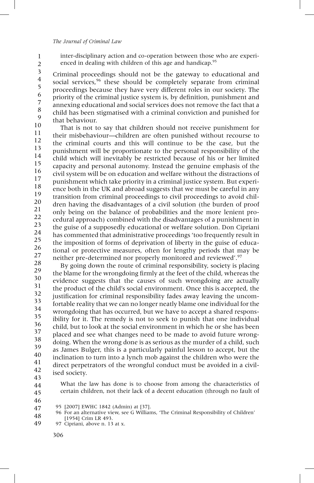1 2 inter-disciplinary action and co-operation between those who are experienced in dealing with children of this age and handicap.<sup>95</sup>

Criminal proceedings should not be the gateway to educational and social services.<sup>96</sup> these should be completely separate from criminal proceedings because they have very different roles in our society. The priority of the criminal justice system is, by definition, punishment and annexing educational and social services does not remove the fact that a child has been stigmatised with a criminal conviction and punished for that behaviour. 3 4 5 6 7 8 9

That is not to say that children should not receive punishment for their misbehaviour—children are often punished without recourse to the criminal courts and this will continue to be the case, but the punishment will be proportionate to the personal responsibility of the child which will inevitably be restricted because of his or her limited capacity and personal autonomy. Instead the genuine emphasis of the civil system will be on education and welfare without the distractions of punishment which take priority in a criminal justice system. But experience both in the UK and abroad suggests that we must be careful in any transition from criminal proceedings to civil proceedings to avoid children having the disadvantages of a civil solution (the burden of proof only being on the balance of probabilities and the more lenient procedural approach) combined with the disadvantages of a punishment in the guise of a supposedly educational or welfare solution. Don Cipriani has commented that administrative proceedings 'too frequently result in the imposition of forms of deprivation of liberty in the guise of educational or protective measures, often for lengthy periods that may be neither pre-determined nor properly monitored and reviewed'.<sup>97</sup> 10 11 12 13 14 15 16 17 18 19 20 21 22 23 24 25 26 27

By going down the route of criminal responsibility, society is placing the blame for the wrongdoing firmly at the feet of the child, whereas the evidence suggests that the causes of such wrongdoing are actually the product of the child's social environment. Once this is accepted, the justification for criminal responsibility fades away leaving the uncomfortable reality that we can no longer neatly blame one individual for the wrongdoing that has occurred, but we have to accept a shared responsibility for it. The remedy is not to seek to punish that one individual child, but to look at the social environment in which he or she has been placed and see what changes need to be made to avoid future wrongdoing. When the wrong done is as serious as the murder of a child, such as James Bulger, this is a particularly painful lesson to accept, but the inclination to turn into a lynch mob against the children who were the direct perpetrators of the wrongful conduct must be avoided in a civilised society. 28 29 30 31 32 33 34 35 36 37 38 39 40 41 42

- 43
- 44 45

What the law has done is to choose from among the characteristics of certain children, not their lack of a decent education (through no fault of

<sup>95 [2007]</sup> EWHC 1842 (Admin) at [37]. 47

<sup>96</sup> For an alternative view, see G Williams, 'The Criminal Responsibility of Children' [1954] Crim LR 493. 48

<sup>97</sup> Cipriani, above n. 13 at x. 49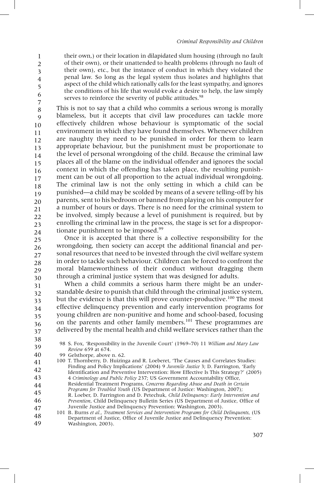their own,) or their location in dilapidated slum housing (through no fault of their own), or their unattended to health problems (through no fault of their own), etc., but the instance of conduct in which they violated the penal law. So long as the legal system thus isolates and highlights that aspect of the child which rationally calls for the least sympathy, and ignores the conditions of his life that would evoke a desire to help, the law simply serves to reinforce the severity of public attitudes.<sup>98</sup>

This is not to say that a child who commits a serious wrong is morally blameless, but it accepts that civil law procedures can tackle more effectively children whose behaviour is symptomatic of the social environment in which they have found themselves. Whenever children are naughty they need to be punished in order for them to learn appropriate behaviour, but the punishment must be proportionate to the level of personal wrongdoing of the child. Because the criminal law places all of the blame on the individual offender and ignores the social context in which the offending has taken place, the resulting punishment can be out of all proportion to the actual individual wrongdoing. The criminal law is not the only setting in which a child can be punished—a child may be scolded by means of a severe telling-off by his parents, sent to his bedroom or banned from playing on his computer for a number of hours or days. There is no need for the criminal system to be involved, simply because a level of punishment is required, but by enrolling the criminal law in the process, the stage is set for a disproportionate punishment to be imposed.<sup>99</sup> 7 8 9 10 11 12 13 14 15 16 17 18 19 20 21 22 23 24

Once it is accepted that there is a collective responsibility for the wrongdoing, then society can accept the additional financial and personal resources that need to be invested through the civil welfare system in order to tackle such behaviour. Children can be forced to confront the moral blameworthiness of their conduct without dragging them through a criminal justice system that was designed for adults. 25 26 27 28 29 30

When a child commits a serious harm there might be an understandable desire to punish that child through the criminal justice system, but the evidence is that this will prove counter-productive.<sup>100</sup> The most effective delinquency prevention and early intervention programs for young children are non-punitive and home and school-based, focusing on the parents and other family members.<sup>101</sup> These programmes are delivered by the mental health and child welfare services rather than the 31 32 33 34 35 36 37

38 39

> 98 S. Fox, 'Responsibility in the Juvenile Court' (1969–70) 11 *William and Mary Law Review* 659 at 674.

- 99 Gelsthorpe, above n. 62. 40
- 100 T. Thornberry, D. Huizinga and R. Loeberet, 'The Causes and Correlates Studies: Finding and Policy Implications' (2004) 9 *Juvenile Justice* 3; D. Farrington, 'Early Identification and Preventive Intervention: How Effective Is This Strategy?' (2005) 4 *Criminology and Public Policy* 237; US Government Accountability Office, 41 42 43
- Residential Treatment Programs, *Concerns Regarding Abuse and Death in Certain Programs for Troubled Youth* (US Department of Justice: Washington, 2007); 44
- R. Loeber, D. Farrington and D. Petechuk, *Child Delinquency: Early Intervention and Prevention*, Child Delinquency Bulletin Series (US Department of Justice, Office of 45 46
- Juvenile Justice and Delinquency Prevention: Washington, 2003). 47
- 101 B. Burns *et al.*, *Treatment Services and Intervention Programs for Child Delinquents*, (US Department of Justice, Office of Juvenile Justice and Delinquency Prevention: Washington, 2003). 48 49